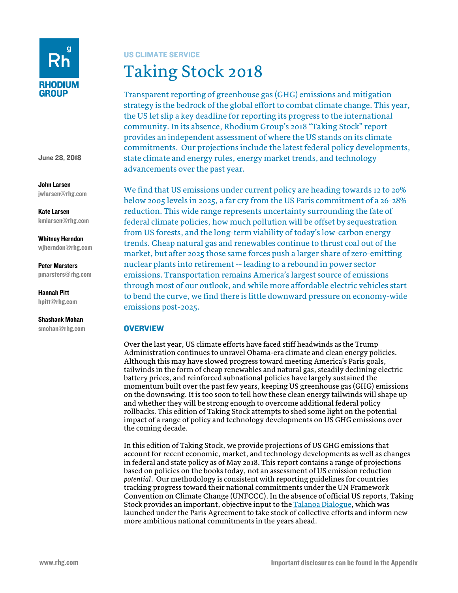

June 28, 2018

John Larsen jwlarsen@rhg.com

Kate Larsen kmlarsen@rhg.com

Whitney Herndon wjherndon@rhg.com

Peter Marsters pmarsters@rhg.com

Hannah Pitt hpitt@rhg.com

Shashank Mohan smohan@rhg.com

# US CLIMATE SERVICE

Taking Stock 2018

Transparent reporting of greenhouse gas (GHG) emissions and mitigation strategy is the bedrock of the global effort to combat climate change. This year, the US let slip a key deadline for reporting its progress to the international community. In its absence, Rhodium Group's 2018 "Taking Stock" report provides an independent assessment of where the US stands on its climate commitments. Our projections include the latest federal policy developments, state climate and energy rules, energy market trends, and technology advancements over the past year.

We find that US emissions under current policy are heading towards 12 to 20% below 2005 levels in 2025, a far cry from the US Paris commitment of a 26-28% reduction. This wide range represents uncertainty surrounding the fate of federal climate policies, how much pollution will be offset by sequestration from US forests, and the long-term viability of today's low-carbon energy trends. Cheap natural gas and renewables continue to thrust coal out of the market, but after 2025 those same forces push a larger share of zero-emitting nuclear plants into retirement -- leading to a rebound in power sector emissions. Transportation remains America's largest source of emissions through most of our outlook, and while more affordable electric vehicles start to bend the curve, we find there is little downward pressure on economy-wide emissions post-2025.

# **OVERVIEW**

Over the last year, US climate efforts have faced stiff headwinds as the Trump Administration continues to unravel Obama-era climate and clean energy policies. Although this may have slowed progress toward meeting America's Paris goals, tailwinds in the form of cheap renewables and natural gas, steadily declining electric battery prices, and reinforced subnational policies have largely sustained the momentum built over the past few years, keeping US greenhouse gas (GHG) emissions on the downswing. It is too soon to tell how these clean energy tailwinds will shape up and whether they will be strong enough to overcome additional federal policy rollbacks. This edition of Taking Stock attempts to shed some light on the potential impact of a range of policy and technology developments on US GHG emissions over the coming decade.

In this edition of Taking Stock, we provide projections of US GHG emissions that account for recent economic, market, and technology developments as well as changes in federal and state policy as of May 2018. This report contains a range of projections based on policies on the books today, not an assessment of US emission reduction *potential*. Our methodology is consistent with reporting guidelines for countries tracking progress toward their national commitments under the UN Framework Convention on Climate Change (UNFCCC). In the absence of official US reports, Taking Stock provides an important, objective input to th[e Talanoa Dialogue,](https://unfccc.int/process-and-meetings/the-paris-agreement/2018-talanoa-dialogue-platform) which was launched under the Paris Agreement to take stock of collective efforts and inform new more ambitious national commitments in the years ahead.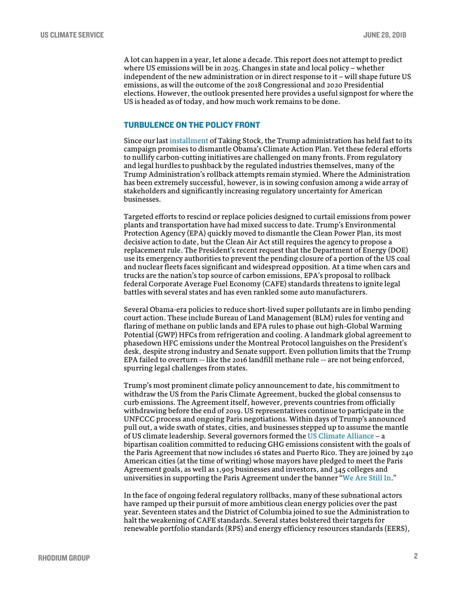A lot can happen in a year, let alone a decade. This report does not attempt to predict where US emissions will be in 2025. Changes in state and local policy − whether independent of the new administration or in direct response to it − will shape future US emissions, as will the outcome of the 2018 Congressional and 2020 Presidential elections. However, the outlook presented here provides a useful signpost for where the US is headed as of today, and how much work remains to be done.

# TURBULENCE ON THE POLICY FRONT

Since our last [installment](https://rhg.com/research/taking-stock-2017-us-greenhouse-gas-emissions/) of Taking Stock, the Trump administration has held fast to its campaign promises to dismantle Obama's Climate Action Plan. Yet these federal efforts to nullify carbon-cutting initiatives are challenged on many fronts. From regulatory and legal hurdles to pushback by the regulated industries themselves, many of the Trump Administration's rollback attempts remain stymied. Where the Administration has been extremely successful, however, is in sowing confusion among a wide array of stakeholders and significantly increasing regulatory uncertainty for American businesses.

Targeted efforts to rescind or replace policies designed to curtail emissions from power plants and transportation have had mixed success to date. Trump's Environmental Protection Agency (EPA) quickly moved to dismantle the Clean Power Plan, its most decisive action to date, but the Clean Air Act still requires the agency to propose a replacement rule. The President's recent request that the Department of Energy (DOE) use its emergency authorities to prevent the pending closure of a portion of the US coal and nuclear fleets faces significant and widespread opposition. At a time when cars and trucks are the nation's top source of carbon emissions, EPA's proposal to rollback federal Corporate Average Fuel Economy (CAFE) standards threatens to ignite legal battles with several states and has even rankled some auto manufacturers.

Several Obama-era policies to reduce short-lived super pollutants are in limbo pending court action. These include Bureau of Land Management (BLM) rules for venting and flaring of methane on public lands and EPA rules to phase out high-Global Warming Potential (GWP) HFCs from refrigeration and cooling. A landmark global agreement to phasedown HFC emissions under the Montreal Protocol languishes on the President's desk, despite strong industry and Senate support. Even pollution limits that the Trump EPA failed to overturn -- like the 2016 landfill methane rule -- are not being enforced, spurring legal challenges from states.

Trump's most prominent climate policy announcement to date, his commitment to withdraw the US from the Paris Climate Agreement, bucked the global consensus to curb emissions. The Agreement itself, however, prevents countries from officially withdrawing before the end of 2019. US representatives continue to participate in the UNFCCC process and ongoing Paris negotiations. Within days of Trump's announced pull out, a wide swath of states, cities, and businesses stepped up to assume the mantle of US climate leadership. Several governors formed the US Climate Alliance − a bipartisan coalition committed to reducing GHG emissions consistent with the goals of the Paris Agreement that now includes 16 states and Puerto Rico. They are joined by 240 American cities (at the time of writing) whose mayors have pledged to meet the Paris Agreement goals, as well as 1,905 businesses and investors, and 345 colleges and universities in supporting the Paris Agreement under the banner ["We Are Still In.](https://www.wearestillin.com/)"

In the face of ongoing federal regulatory rollbacks, many of these subnational actors have ramped up their pursuit of more ambitious clean energy policies over the past year. Seventeen states and the District of Columbia joined to sue the Administration to halt the weakening of CAFE standards. Several states bolstered their targets for renewable portfolio standards (RPS) and energy efficiency resources standards (EERS),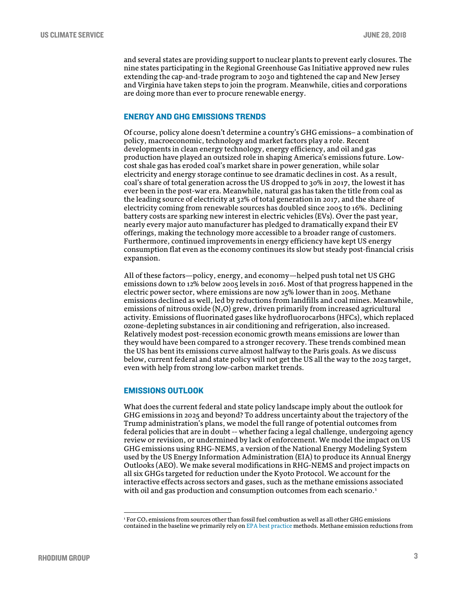and several states are providing support to nuclear plants to prevent early closures. The nine states participating in the Regional Greenhouse Gas Initiative approved new rules extending the cap-and-trade program to 2030 and tightened the cap and New Jersey and Virginia have taken steps to join the program. Meanwhile, cities and corporations are doing more than ever to procure renewable energy.

## ENERGY AND GHG EMISSIONS TRENDS

Of course, policy alone doesn't determine a country's GHG emissions− a combination of policy, macroeconomic, technology and market factors play a role. Recent developments in clean energy technology, energy efficiency, and oil and gas production have played an outsized role in shaping America's emissions future. Lowcost shale gas has eroded coal's market share in power generation, while solar electricity and energy storage continue to see dramatic declines in cost. As a result, coal's share of total generation across the US dropped to 30% in 2017, the lowest it has ever been in the post-war era. Meanwhile, natural gas has taken the title from coal as the leading source of electricity at 32% of total generation in 2017, and the share of electricity coming from renewable sources has doubled since 2005 to 16%. Declining battery costs are sparking new interest in electric vehicles (EVs). Over the past year, nearly every major auto manufacturer has pledged to dramatically expand their EV offerings, making the technology more accessible to a broader range of customers. Furthermore, continued improvements in energy efficiency have kept US energy consumption flat even as the economy continues its slow but steady post-financial crisis expansion.

All of these factors—policy, energy, and economy—helped push total net US GHG emissions down to 12% below 2005 levels in 2016. Most of that progress happened in the electric power sector, where emissions are now 25% lower than in 2005. Methane emissions declined as well, led by reductions from landfills and coal mines. Meanwhile, emissions of nitrous oxide  $(N_2O)$  grew, driven primarily from increased agricultural activity. Emissions of fluorinated gases like hydrofluorocarbons (HFCs), which replaced ozone-depleting substances in air conditioning and refrigeration, also increased. Relatively modest post-recession economic growth means emissions are lower than they would have been compared to a stronger recovery. These trends combined mean the US has bent its emissions curve almost halfway to the Paris goals. As we discuss below, current federal and state policy will not get the US all the way to the 2025 target, even with help from strong low-carbon market trends.

# EMISSIONS OUTLOOK

What does the current federal and state policy landscape imply about the outlook for GHG emissions in 2025 and beyond? To address uncertainty about the trajectory of the Trump administration's plans, we model the full range of potential outcomes from federal policies that are in doubt -- whether facing a legal challenge, undergoing agency review or revision, or undermined by lack of enforcement. We model the impact on US GHG emissions using RHG-NEMS, a version of the National Energy Modeling System used by the US Energy Information Administration (EIA) to produce its Annual Energy Outlooks (AEO). We make several modifications in RHG-NEMS and project impacts on all six GHGs targeted for reduction under the Kyoto Protocol. We account for the interactive effects across sectors and gases, such as the methane emissions associated with oil and gas production and consumption outcomes from each scenario.<sup>[1](#page-2-0)</sup>

<span id="page-2-0"></span> $1$  For CO<sub>2</sub> emissions from sources other than fossil fuel combustion as well as all other GHG emissions contained in the baseline we primarily rely o[n EPA best practice](https://unfccc.int/files/national_reports/biennial_reports_and_iar/submitted_biennial_reports/application/pdf/methodologies_for_u_s__greenhouse_gas_emissions_projections.pdf) methods. Methane emission reductions from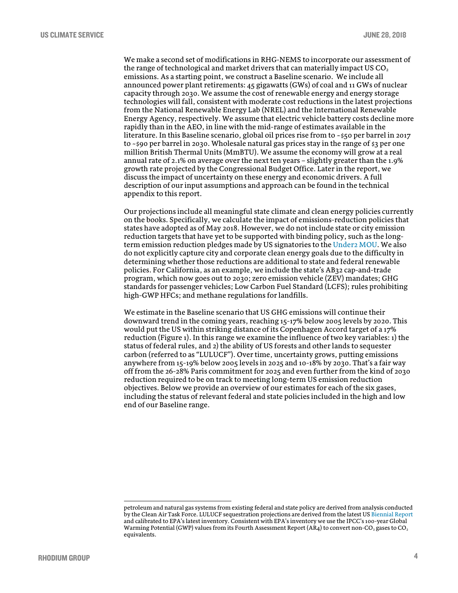We make a second set of modifications in RHG-NEMS to incorporate our assessment of the range of technological and market drivers that can materially impact US  $CO<sub>2</sub>$ emissions. As a starting point, we construct a Baseline scenario. We include all announced power plant retirements: 45 gigawatts (GWs) of coal and 11 GWs of nuclear capacity through 2030. We assume the cost of renewable energy and energy storage technologies will fall, consistent with moderate cost reductions in the latest projections from the National Renewable Energy Lab (NREL) and the International Renewable Energy Agency, respectively. We assume that electric vehicle battery costs decline more rapidly than in the AEO, in line with the mid-range of estimates available in the literature. In this Baseline scenario, global oil prices rise from to ~\$50 per barrel in 2017 to  $\sim$  \$90 per barrel in 2030. Wholesale natural gas prices stay in the range of \$3 per one million British Thermal Units (MmBTU). We assume the economy will grow at a real annual rate of 2.1% on average over the next ten years – slightly greater than the 1.9% growth rate projected by the Congressional Budget Office. Later in the report, we discuss the impact of uncertainty on these energy and economic drivers. A full description of our input assumptions and approach can be found in the technical appendix to this report.

Our projections include all meaningful state climate and clean energy policies currently on the books. Specifically, we calculate the impact of emissions-reduction policies that states have adopted as of May 2018. However, we do not include state or city emission reduction targets that have yet to be supported with binding policy, such as the longterm emission reduction pledges made by US signatories to th[e Under2 MOU.](http://under2mou.org/) We also do not explicitly capture city and corporate clean energy goals due to the difficulty in determining whether those reductions are additional to state and federal renewable policies. For California, as an example, we include the state's AB32 cap-and-trade program, which now goes out to 2030; zero emission vehicle (ZEV) mandates; GHG standards for passenger vehicles; Low Carbon Fuel Standard (LCFS); rules prohibiting high-GWP HFCs; and methane regulations for landfills.

We estimate in the Baseline scenario that US GHG emissions will continue their downward trend in the coming years, reaching 15-17% below 2005 levels by 2020. This would put the US within striking distance of its Copenhagen Accord target of a 17% reduction (Figure 1). In this range we examine the influence of two key variables: 1) the status of federal rules, and 2) the ability of US forests and other lands to sequester carbon (referred to as "LULUCF"). Over time, uncertainty grows, putting emissions anywhere from 15-19% below 2005 levels in 2025 and 10-18% by 2030. That's a fair way off from the 26-28% Paris commitment for 2025 and even further from the kind of 2030 reduction required to be on track to meeting long-term US emission reduction objectives. Below we provide an overview of our estimates for each of the six gases, including the status of relevant federal and state policies included in the high and low end of our Baseline range.

petroleum and natural gas systems from existing federal and state policy are derived from analysis conducted by the Clean Air Task Force. LULUCF sequestration projections are derived from the latest US [Biennial Report](https://unfccc.int/files/national_reports/biennial_reports_and_iar/submitted_biennial_reports/application/pdf/2016_second_biennial_report_of_the_united_states_.pdf) and calibrated to EPA's latest inventory. Consistent with EPA's inventory we use the IPCC's 100-year Global Warming Potential (GWP) values from its Fourth Assessment Report (AR4) to convert non-CO<sub>2</sub> gases to CO<sub>2</sub> equivalents.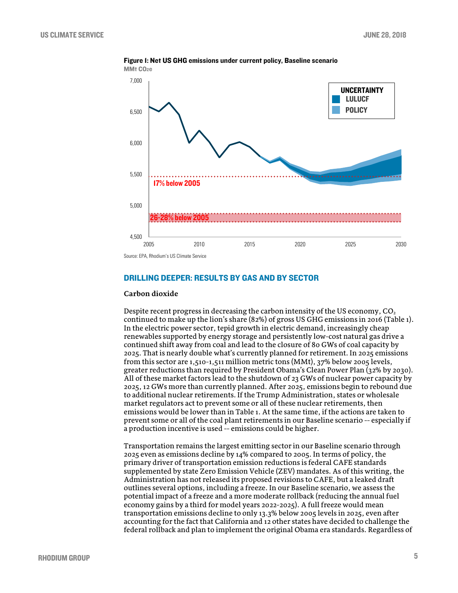

Figure 1: Net US GHG emissions under current policy, Baseline scenario MMt CO<sub>2</sub>e

Source: EPA, Rhodium's US Climate Service

# DRILLING DEEPER: RESULTS BY GAS AND BY SECTOR

## **Carbon dioxide**

Despite recent progress in decreasing the carbon intensity of the US economy,  $CO<sub>2</sub>$ continued to make up the lion's share (82%) of gross US GHG emissions in 2016 (Table 1). In the electric power sector, tepid growth in electric demand, increasingly cheap renewables supported by energy storage and persistently low-cost natural gas drive a continued shift away from coal and lead to the closure of 80 GWs of coal capacity by 2025. That is nearly double what's currently planned for retirement. In 2025 emissions from this sector are 1,510-1,511 million metric tons (MMt), 37% below 2005 levels, greater reductions than required by President Obama's Clean Power Plan (32% by 2030). All of these market factors lead to the shutdown of 23 GWs of nuclear power capacity by 2025, 12 GWs more than currently planned. After 2025, emissions begin to rebound due to additional nuclear retirements. If the Trump Administration, states or wholesale market regulators act to prevent some or all of these nuclear retirements, then emissions would be lower than in Table 1. At the same time, if the actions are taken to prevent some or all of the coal plant retirements in our Baseline scenario -- especially if a production incentive is used -- emissions could be higher.

Transportation remains the largest emitting sector in our Baseline scenario through 2025 even as emissions decline by 14% compared to 2005. In terms of policy, the primary driver of transportation emission reductions is federal CAFE standards supplemented by state Zero Emission Vehicle (ZEV) mandates. As of this writing, the Administration has not released its proposed revisions to CAFE, but a leaked draft outlines several options, including a freeze. In our Baseline scenario, we assess the potential impact of a freeze and a more moderate rollback (reducing the annual fuel economy gains by a third for model years 2022-2025). A full freeze would mean transportation emissions decline to only 13.3% below 2005 levels in 2025, even after accounting for the fact that California and 12 other states have decided to challenge the federal rollback and plan to implement the original Obama era standards. Regardless of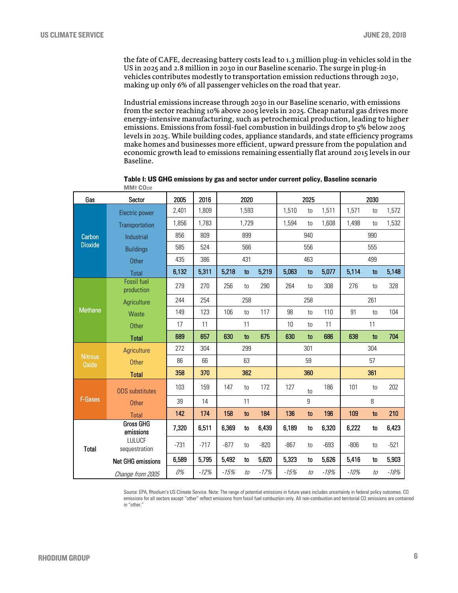the fate of CAFE, decreasing battery costs lead to 1.3 million plug-in vehicles sold in the US in 2025 and 2.8 million in 2030 in our Baseline scenario. The surge in plug-in vehicles contributes modestly to transportation emission reductions through 2030, making up only 6% of all passenger vehicles on the road that year.

Industrial emissions increase through 2030 in our Baseline scenario, with emissions from the sector reaching 10% above 2005 levels in 2025. Cheap natural gas drives more energy-intensive manufacturing, such as petrochemical production, leading to higher emissions. Emissions from fossil-fuel combustion in buildings drop to 5% below 2005 levels in 2025. While building codes, appliance standards, and state efficiency programs make homes and businesses more efficient, upward pressure from the population and economic growth lead to emissions remaining essentially flat around 2015 levels in our Baseline.

| Gas                            | Sector                        | 2005   | 2016   | 2020   |     |        | 2025   |       |        | 2030   |       |        |
|--------------------------------|-------------------------------|--------|--------|--------|-----|--------|--------|-------|--------|--------|-------|--------|
| Carbon<br><b>Dioxide</b>       | Electric power                | 2,401  | 1,809  | 1,593  |     | 1,510  | to     | 1,511 | 1,571  | to     | 1,572 |        |
|                                | Transportation                | 1,856  | 1,783  | 1,729  |     | 1,594  | to     | 1,608 | 1,498  | to     | 1,532 |        |
|                                | Industrial                    | 856    | 809    | 899    |     |        | 940    |       |        | 990    |       |        |
|                                | <b>Buildings</b>              | 585    | 524    | 566    |     |        | 556    |       |        | 555    |       |        |
|                                | Other                         | 435    | 386    | 431    |     |        | 463    |       |        | 499    |       |        |
|                                | Total                         | 6,132  | 5,311  | 5,218  | to  | 5,219  | 5,063  | to    | 5,077  | 5,114  | to    | 5,148  |
| <b>Methane</b>                 | Fossil fuel<br>production     | 279    | 270    | 256    | to  | 290    | 264    | to    | 308    | 276    | to    | 328    |
|                                | Agriculture                   | 244    | 254    | 258    |     |        | 258    |       |        | 261    |       |        |
|                                | Waste                         | 149    | 123    | 106    | to  | 117    | 98     | to    | 110    | 91     | to    | 104    |
|                                | <b>Other</b>                  | 17     | 11     |        | 11  |        | 10     | to    | 11     |        | 11    |        |
|                                | <b>Total</b>                  | 689    | 657    | 630    | to  | 675    | 630    | to    | 686    | 638    | to    | 704    |
| <b>Nitrous</b><br><b>Oxide</b> | Agriculture                   | 272    | 304    |        | 299 |        |        | 301   |        |        | 304   |        |
|                                | <b>Other</b>                  | 86     | 66     |        | 63  |        |        | 59    |        |        | 57    |        |
|                                | <b>Total</b>                  | 358    | 370    | 362    |     |        | 360    |       |        | 361    |       |        |
| F-Gases                        | <b>ODS</b> substitutes        | 103    | 159    | 147    | to  | 172    | 127    | to    | 186    | 101    | to    | 202    |
|                                | Other                         | 39     | 14     |        | 11  |        |        | 9     |        |        | 8     |        |
|                                | <b>Total</b>                  | 142    | 174    | 158    | to  | 184    | 136    | to    | 196    | 109    | to    | 210    |
| <b>Total</b>                   | <b>Gross GHG</b><br>emissions | 7,320  | 6,511  | 6,369  | to  | 6,439  | 6,189  | to    | 6,320  | 6,222  | to    | 6,423  |
|                                | LULUCF<br>sequestration       | $-731$ | $-717$ | $-877$ | to  | $-820$ | $-867$ | to    | $-693$ | $-806$ | to    | $-521$ |
|                                | <b>Net GHG emissions</b>      | 6,589  | 5,795  | 5,492  | to  | 5,620  | 5,323  | to    | 5,626  | 5,416  | to    | 5,903  |
|                                | Change from 2005              | 0%     | $-12%$ | $-15%$ | to  | $-17%$ | $-15%$ | to    | $-19%$ | $-10%$ | to    | $-18%$ |

Table 1: US GHG emissions by gas and sector under current policy, Baseline scenario MMt CO<sub>2</sub>e

Source: EPA, Rhodium's US Climate Service. Note: The range of potential emissions in future years includes uncertainty in federal policy outcomes. CO emissions for all sectors except "other" reflect emissions from fossil fuel combustion only. All non-combustion and territorial CO2 emissions are contained in "other."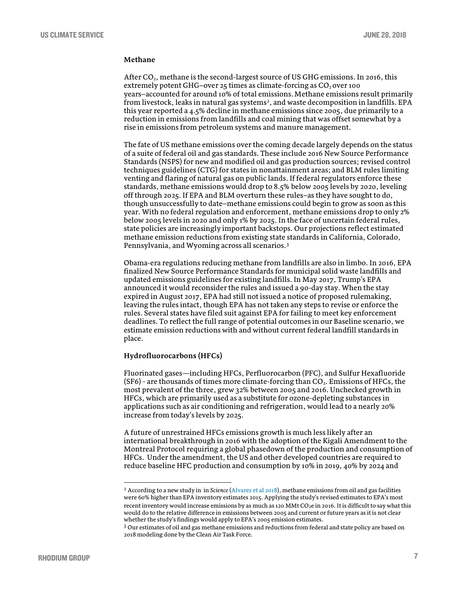## **Methane**

After CO2, methane is the second-largest source of US GHG emissions. In 2016, this extremely potent GHG-over 25 times as climate-forcing as CO<sub>2</sub> over 100 years−accounted for around 10% of total emissions.Methane emissions result primarily from livestock, leaks in natural gas systems<sup>[2](#page-6-0)</sup>, and waste decomposition in landfills. EPA this year reported a 4.5% decline in methane emissions since 2005, due primarily to a reduction in emissions from landfills and coal mining that was offset somewhat by a rise in emissions from petroleum systems and manure management.

The fate of US methane emissions over the coming decade largely depends on the status of a suite of federal oil and gas standards. These include 2016 New Source Performance Standards (NSPS) for new and modified oil and gas production sources; revised control techniques guidelines (CTG) for states in nonattainment areas; and BLM rules limiting venting and flaring of natural gas on public lands. If federal regulators enforce these standards, methane emissions would drop to 8.5% below 2005 levels by 2020, leveling off through 2025. If EPA and BLM overturn these rules−as they have sought to do, though unsuccessfully to date−methane emissions could begin to grow as soon as this year. With no federal regulation and enforcement, methane emissions drop to only 2% below 2005 levels in 2020 and only 1% by 2025. In the face of uncertain federal rules, state policies are increasingly important backstops. Our projections reflect estimated methane emission reductions from existing state standards in California, Colorado, Pennsylvania, and Wyoming across all scenarios.[3](#page-6-1)

Obama-era regulations reducing methane from landfills are also in limbo. In 2016, EPA finalized New Source Performance Standards for municipal solid waste landfills and updated emissions guidelines for existing landfills. In May 2017, Trump's EPA announced it would reconsider the rules and issued a 90-day stay. When the stay expired in August 2017, EPA had still not issued a notice of proposed rulemaking, leaving the rules intact, though EPA has not taken any steps to revise or enforce the rules. Several states have filed suit against EPA for failing to meet key enforcement deadlines. To reflect the full range of potential outcomes in our Baseline scenario, we estimate emission reductions with and without current federal landfill standards in place.

## **Hydrofluorocarbons (HFCs)**

Fluorinated gases—including HFCs, Perfluorocarbon (PFC), and Sulfur Hexafluoride  $(SF6)$  - are thousands of times more climate-forcing than  $CO<sub>2</sub>$ . Emissions of HFCs, the most prevalent of the three, grew 32% between 2005 and 2016. Unchecked growth in HFCs, which are primarily used as a substitute for ozone-depleting substances in applications such as air conditioning and refrigeration, would lead to a nearly 20% increase from today's levels by 2025.

A future of unrestrained HFCs emissions growth is much less likely after an international breakthrough in 2016 with the adoption of the Kigali Amendment to the Montreal Protocol requiring a global phasedown of the production and consumption of HFCs. Under the amendment, the US and other developed countries are required to reduce baseline HFC production and consumption by 10% in 2019, 40% by 2024 and

<span id="page-6-0"></span> <sup>2</sup> According to a new study in in *Science* [\(Alvarez et al 2018\)](http://science.sciencemag.org/content/early/2018/06/20/science.aar7204), methane emissions from oil and gas facilities were 60% higher than EPA inventory estimates 2015. Applying the study's revised estimates to EPA's most recent inventory would increase emissions by as much as 120 MMt CO<sub>2</sub>e in 2016. It is difficult to say what this would do to the relative difference in emissions between 2005 and current or future years as it is not clear whether the study's findings would apply to EPA's 2005 emission estimates.

<span id="page-6-1"></span><sup>&</sup>lt;sup>3</sup> Our estimates of oil and gas methane emissions and reductions from federal and state policy are based on 2018 modeling done by the Clean Air Task Force.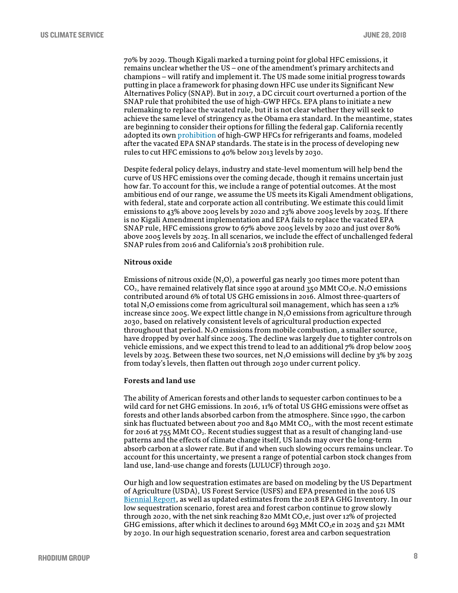70% by 2029. Though Kigali marked a turning point for global HFC emissions, it remains unclear whether the US − one of the amendment's primary architects and champions − will ratify and implement it. The US made some initial progress towards putting in place a framework for phasing down HFC use under its Significant New Alternatives Policy (SNAP). But in 2017, a DC circuit court overturned a portion of the SNAP rule that prohibited the use of high-GWP HFCs. EPA plans to initiate a new rulemaking to replace the vacated rule, but it is not clear whether they will seek to achieve the same level of stringency as the Obama era standard. In the meantime, states are beginning to consider their options for filling the federal gap. California recently adopted its own [prohibition](https://www.arb.ca.gov/regact/2018/casnap/casnap.htm) of high-GWP HFCs for refrigerants and foams, modeled after the vacated EPA SNAP standards. The state is in the process of developing new rules to cut HFC emissions to 40% below 2013 levels by 2030.

Despite federal policy delays, industry and state-level momentum will help bend the curve of US HFC emissions over the coming decade, though it remains uncertain just how far. To account for this, we include a range of potential outcomes. At the most ambitious end of our range, we assume the US meets its Kigali Amendment obligations, with federal, state and corporate action all contributing. We estimate this could limit emissions to 43% above 2005 levels by 2020 and 23% above 2005 levels by 2025. If there is no Kigali Amendment implementation and EPA fails to replace the vacated EPA SNAP rule, HFC emissions grow to 67% above 2005 levels by 2020 and just over 80% above 2005 levels by 2025. In all scenarios, we include the effect of unchallenged federal SNAP rules from 2016 and California's 2018 prohibition rule.

## **Nitrous oxide**

Emissions of nitrous oxide  $(N_2O)$ , a powerful gas nearly 300 times more potent than  $CO<sub>2</sub>$ , have remained relatively flat since 1990 at around 350 MMt  $CO<sub>2</sub>$ e. N<sub>2</sub>O emissions contributed around 6% of total US GHG emissions in 2016. Almost three-quarters of total N2O emissions come from agricultural soil management, which has seen a 12% increase since 2005. We expect little change in  $N_2O$  emissions from agriculture through 2030, based on relatively consistent levels of agricultural production expected throughout that period.  $N_2O$  emissions from mobile combustion, a smaller source, have dropped by over half since 2005. The decline was largely due to tighter controls on vehicle emissions, and we expect this trend to lead to an additional 7% drop below 2005 levels by 2025. Between these two sources, net  $N_2O$  emissions will decline by  $3\%$  by 2025 from today's levels, then flatten out through 2030 under current policy.

## **Forests and land use**

The ability of American forests and other lands to sequester carbon continues to be a wild card for net GHG emissions. In 2016, 11% of total US GHG emissions were offset as forests and other lands absorbed carbon from the atmosphere. Since 1990, the carbon sink has fluctuated between about 700 and 840 MMt  $CO<sub>2</sub>$ , with the most recent estimate for 2016 at  $755$  MMt CO<sub>2</sub>. Recent studies suggest that as a result of changing land-use patterns and the effects of climate change itself, US lands may over the long-term absorb carbon at a slower rate. But if and when such slowing occurs remains unclear. To account for this uncertainty, we present a range of potential carbon stock changes from land use, land-use change and forests (LULUCF) through 2030.

Our high and low sequestration estimates are based on modeling by the US Department of Agriculture (USDA), US Forest Service (USFS) and EPA presented in the 2016 US [Biennial Report,](https://unfccc.int/files/national_reports/biennial_reports_and_iar/submitted_biennial_reports/application/pdf/2016_second_biennial_report_of_the_united_states_.pdf) as well as updated estimates from the 2018 EPA GHG Inventory. In our low sequestration scenario, forest area and forest carbon continue to grow slowly through 2020, with the net sink reaching 820 MMt  $CO<sub>2</sub>e$ , just over 12% of projected GHG emissions, after which it declines to around 693 MMt CO<sub>2</sub>e in 2025 and 521 MMt by 2030. In our high sequestration scenario, forest area and carbon sequestration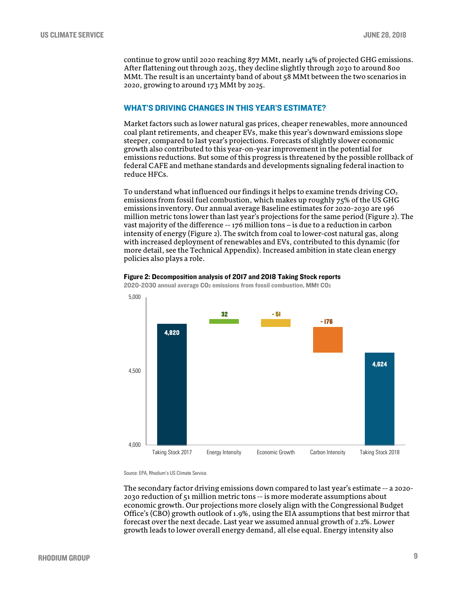continue to grow until 2020 reaching 877 MMt, nearly 14% of projected GHG emissions. After flattening out through 2025, they decline slightly through 2030 to around 800 MMt. The result is an uncertainty band of about 58 MMt between the two scenarios in 2020, growing to around 173 MMt by 2025.

# WHAT'S DRIVING CHANGES IN THIS YEAR'S ESTIMATE?

Market factors such as lower natural gas prices, cheaper renewables, more announced coal plant retirements, and cheaper EVs, make this year's downward emissions slope steeper, compared to last year's projections. Forecasts of slightly slower economic growth also contributed to this year-on-year improvement in the potential for emissions reductions. But some of this progress is threatened by the possible rollback of federal CAFE and methane standards and developments signaling federal inaction to reduce HFCs.

To understand what influenced our findings it helps to examine trends driving  $CO<sub>2</sub>$ emissions from fossil fuel combustion, which makes up roughly  $75\%$  of the US GHG emissions inventory. Our annual average Baseline estimates for 2020-2030 are 196 million metric tons lower than last year's projections for the same period (Figure 2). The vast majority of the difference -- 176 million tons − is due to a reduction in carbon intensity of energy (Figure 2). The switch from coal to lower-cost natural gas, along with increased deployment of renewables and EVs, contributed to this dynamic (for more detail, see the Technical Appendix). Increased ambition in state clean energy policies also plays a role.



Figure 2: Decomposition analysis of 2017 and 2018 Taking Stock reports

Source: EPA, Rhodium's US Climate Service.

The secondary factor driving emissions down compared to last year's estimate -- a 2020- 2030 reduction of 51 million metric tons -- is more moderate assumptions about economic growth. Our projections more closely align with the Congressional Budget Office's (CBO) growth outlook of 1.9%, using the EIA assumptions that best mirror that forecast over the next decade. Last year we assumed annual growth of 2.2%. Lower growth leads to lower overall energy demand, all else equal. Energy intensity also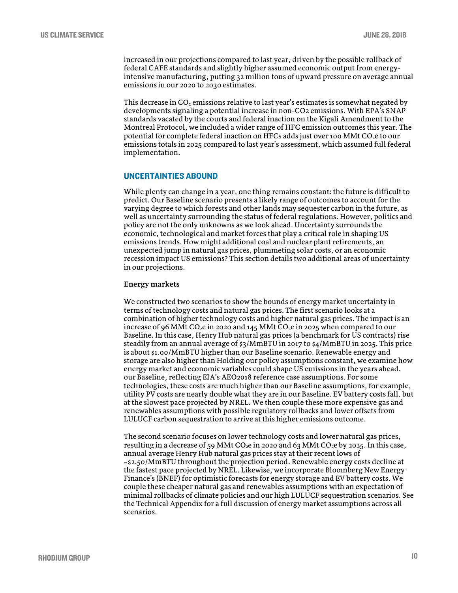increased in our projections compared to last year, driven by the possible rollback of federal CAFE standards and slightly higher assumed economic output from energyintensive manufacturing, putting 32 million tons of upward pressure on average annual emissions in our 2020 to 2030 estimates.

This decrease in  $CO<sub>2</sub>$  emissions relative to last year's estimates is somewhat negated by developments signaling a potential increase in non-CO2 emissions. With EPA's SNAP standards vacated by the courts and federal inaction on the Kigali Amendment to the Montreal Protocol, we included a wider range of HFC emission outcomes this year. The potential for complete federal inaction on HFCs adds just over 100 MMt  $CO<sub>2</sub>e$  to our emissions totals in 2025 compared to last year's assessment, which assumed full federal implementation.

## UNCERTAINTIES ABOUND

While plenty can change in a year, one thing remains constant: the future is difficult to predict. Our Baseline scenario presents a likely range of outcomes to account for the varying degree to which forests and other lands may sequester carbon in the future, as well as uncertainty surrounding the status of federal regulations. However, politics and policy are not the only unknowns as we look ahead. Uncertainty surrounds the economic, technological and market forces that play a critical role in shaping US emissions trends. How might additional coal and nuclear plant retirements, an unexpected jump in natural gas prices, plummeting solar costs, or an economic recession impact US emissions? This section details two additional areas of uncertainty in our projections.

## **Energy markets**

We constructed two scenarios to show the bounds of energy market uncertainty in terms of technology costs and natural gas prices. The first scenario looks at a combination of higher technology costs and higher natural gas prices. The impact is an increase of 96 MMt CO<sub>2</sub>e in 2020 and 145 MMt CO<sub>2</sub>e in 2025 when compared to our Baseline. In this case, Henry Hub natural gas prices (a benchmark for US contracts) rise steadily from an annual average of \$3/MmBTU in 2017 to \$4/MmBTU in 2025. This price is about \$1.00/MmBTU higher than our Baseline scenario. Renewable energy and storage are also higher than Holding our policy assumptions constant, we examine how energy market and economic variables could shape US emissions in the years ahead. our Baseline, reflecting EIA's AEO2018 reference case assumptions. For some technologies, these costs are much higher than our Baseline assumptions, for example, utility PV costs are nearly double what they are in our Baseline. EV battery costs fall, but at the slowest pace projected by NREL. We then couple these more expensive gas and renewables assumptions with possible regulatory rollbacks and lower offsets from LULUCF carbon sequestration to arrive at this higher emissions outcome.

The second scenario focuses on lower technology costs and lower natural gas prices, resulting in a decrease of 59 MMt CO<sub>2</sub>e in 2020 and 63 MMt CO<sub>2</sub>e by 2025. In this case, annual average Henry Hub natural gas prices stay at their recent lows of ~\$2.50/MmBTU throughout the projection period. Renewable energy costs decline at the fastest pace projected by NREL. Likewise, we incorporate Bloomberg New Energy Finance's (BNEF) for optimistic forecasts for energy storage and EV battery costs. We couple these cheaper natural gas and renewables assumptions with an expectation of minimal rollbacks of climate policies and our high LULUCF sequestration scenarios. See the Technical Appendix for a full discussion of energy market assumptions across all scenarios.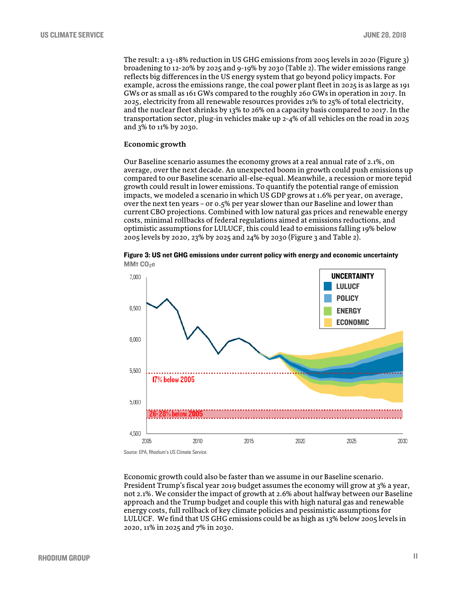The result: a 13-18% reduction in US GHG emissions from 2005 levels in 2020 (Figure 3) broadening to 12-20% by 2025 and 9-19% by 2030 (Table 2). The wider emissions range reflects big differences in the US energy system that go beyond policy impacts. For example, across the emissions range, the coal power plant fleet in 2025 is as large as 191 GWs or as small as 161 GWs compared to the roughly 260 GWs in operation in 2017. In 2025, electricity from all renewable resources provides 21% to 25% of total electricity, and the nuclear fleet shrinks by 13% to 26% on a capacity basis compared to 2017. In the transportation sector, plug-in vehicles make up 2-4% of all vehicles on the road in 2025 and 3% to 11% by 2030.

## **Economic growth**

Our Baseline scenario assumes the economy grows at a real annual rate of 2.1%, on average, over the next decade. An unexpected boom in growth could push emissions up compared to our Baseline scenario all-else-equal. Meanwhile, a recession or more tepid growth could result in lower emissions. To quantify the potential range of emission impacts, we modeled a scenario in which US GDP grows at 1.6% per year, on average, over the next ten years – or 0.5% per year slower than our Baseline and lower than current CBO projections. Combined with low natural gas prices and renewable energy costs, minimal rollbacks of federal regulations aimed at emissions reductions, and optimistic assumptions for LULUCF, this could lead to emissions falling 19% below 2005 levels by 2020, 23% by 2025 and 24% by 2030 (Figure 3 and Table 2).



Figure 3: US net GHG emissions under current policy with energy and economic uncertainty MMt CO<sub>2</sub>e

Source: EPA, Rhodium's US Climate Service.

Economic growth could also be faster than we assume in our Baseline scenario. President Trump's fiscal year 2019 budget assumes the economy will grow at 3% a year, not 2.1%. We consider the impact of growth at 2.6% about halfway between our Baseline approach and the Trump budget and couple this with high natural gas and renewable energy costs, full rollback of key climate policies and pessimistic assumptions for LULUCF. We find that US GHG emissions could be as high as 13% below 2005 levels in 2020, 11% in 2025 and 7% in 2030.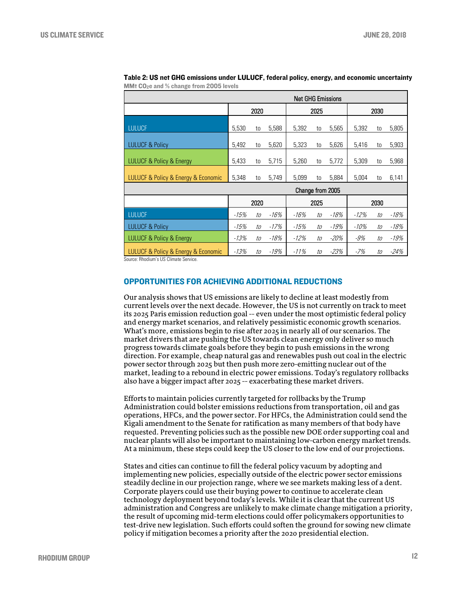| <b>Net GHG Emissions</b>                                    |        |    |        |        |      |        |        |    |        |  |  |
|-------------------------------------------------------------|--------|----|--------|--------|------|--------|--------|----|--------|--|--|
|                                                             | 2020   |    |        |        | 2025 |        | 2030   |    |        |  |  |
| <b>LULUCF</b>                                               | 5,530  | to | 5,588  | 5,392  | to   | 5,565  | 5,392  | to | 5,805  |  |  |
| <b>LULUCF &amp; Policy</b>                                  | 5,492  | to | 5,620  | 5,323  | to   | 5,626  | 5,416  | to | 5,903  |  |  |
| <b>LULUCF &amp; Policy &amp; Energy</b>                     | 5,433  | to | 5,715  | 5,260  | to   | 5,772  | 5,309  | to | 5,968  |  |  |
| LULUCF & Policy & Energy & Economic                         | 5,348  | to | 5,749  | 5,099  | to   | 5,884  | 5,004  | to | 6,141  |  |  |
| Change from 2005                                            |        |    |        |        |      |        |        |    |        |  |  |
|                                                             | 2020   |    |        |        | 2025 |        | 2030   |    |        |  |  |
| <b>LULUCF</b>                                               | -15%   | to | -16%   | -16%   | to   | $-18%$ | -12%   | to | $-18%$ |  |  |
| <b>LULUCF &amp; Policy</b>                                  | -15%   | to | $-17%$ | -15%   | to   | $-19%$ | $-10%$ | to | $-18%$ |  |  |
| <b>LULUCF &amp; Policy &amp; Energy</b>                     | -13%   | to | $-18%$ | $-12%$ | to   | $-20%$ | $-9%$  | to | $-19%$ |  |  |
| LULUCF & Policy & Energy & Economic<br><b>PU U U U U PU</b> | $-13%$ | to | $-19%$ | $-11%$ | to   | $-23%$ | $-7%$  | to | $-24%$ |  |  |

Table 2: US net GHG emissions under LULUCF, federal policy, energy, and economic uncertainty MMt CO2e and % change from 2005 levels

Source: Rhodium's US Climate Service.

# OPPORTUNITIES FOR ACHIEVING ADDITIONAL REDUCTIONS

Our analysis shows that US emissions are likely to decline at least modestly from current levels over the next decade. However, the US is not currently on track to meet its 2025 Paris emission reduction goal -- even under the most optimistic federal policy and energy market scenarios, and relatively pessimistic economic growth scenarios. What's more, emissions begin to rise after 2025 in nearly all of our scenarios. The market drivers that are pushing the US towards clean energy only deliver so much progress towards climate goals before they begin to push emissions in the wrong direction. For example, cheap natural gas and renewables push out coal in the electric power sector through 2025 but then push more zero-emitting nuclear out of the market, leading to a rebound in electric power emissions. Today's regulatory rollbacks also have a bigger impact after 2025 -- exacerbating these market drivers.

Efforts to maintain policies currently targeted for rollbacks by the Trump Administration could bolster emissions reductions from transportation, oil and gas operations, HFCs, and the power sector. For HFCs, the Administration could send the Kigali amendment to the Senate for ratification as many members of that body have requested. Preventing policies such as the possible new DOE order supporting coal and nuclear plants will also be important to maintaining low-carbon energy market trends. At a minimum, these steps could keep the US closer to the low end of our projections.

States and cities can continue to fill the federal policy vacuum by adopting and implementing new policies, especially outside of the electric power sector emissions steadily decline in our projection range, where we see markets making less of a dent. Corporate players could use their buying power to continue to accelerate clean technology deployment beyond today's levels. While it is clear that the current US administration and Congress are unlikely to make climate change mitigation a priority, the result of upcoming mid-term elections could offer policymakers opportunities to test-drive new legislation. Such efforts could soften the ground for sowing new climate policy if mitigation becomes a priority after the 2020 presidential election.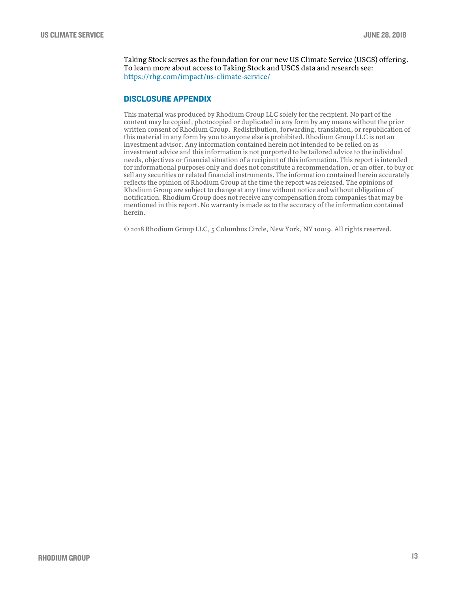Taking Stock serves as the foundation for our new US Climate Service (USCS) offering. To learn more about access to Taking Stock and USCS data and research see: <https://rhg.com/impact/us-climate-service/>

# DISCLOSURE APPENDIX

This material was produced by Rhodium Group LLC solely for the recipient. No part of the content may be copied, photocopied or duplicated in any form by any means without the prior written consent of Rhodium Group. Redistribution, forwarding, translation, or republication of this material in any form by you to anyone else is prohibited. Rhodium Group LLC is not an investment advisor. Any information contained herein not intended to be relied on as investment advice and this information is not purported to be tailored advice to the individual needs, objectives or financial situation of a recipient of this information. This report is intended for informational purposes only and does not constitute a recommendation, or an offer, to buy or sell any securities or related financial instruments. The information contained herein accurately reflects the opinion of Rhodium Group at the time the report was released. The opinions of Rhodium Group are subject to change at any time without notice and without obligation of notification. Rhodium Group does not receive any compensation from companies that may be mentioned in this report. No warranty is made as to the accuracy of the information contained herein.

© 2018 Rhodium Group LLC, 5 Columbus Circle, New York, NY 10019. All rights reserved.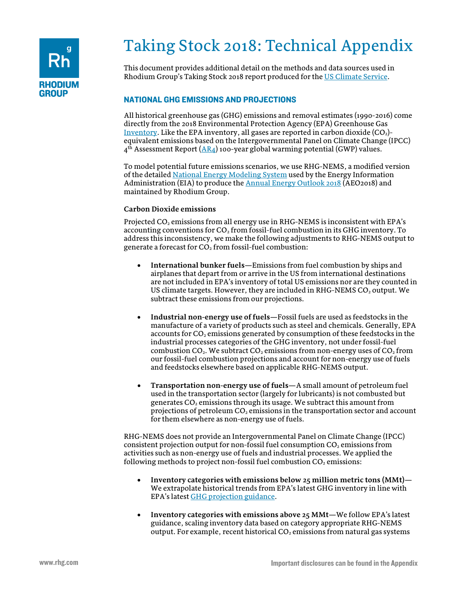

# Taking Stock 2018: Technical Appendix

This document provides additional detail on the methods and data sources used in Rhodium Group's Taking Stock 2018 report produced for the [US Climate Service.](https://rhg.com/impact/us-climate-service/)

# NATIONAL GHG EMISSIONS AND PROJECTIONS

All historical greenhouse gas (GHG) emissions and removal estimates (1990-2016) come directly from the 2018 Environmental Protection Agency (EPA) Greenhouse Gas [Inventory.](https://www.epa.gov/ghgemissions/inventory-us-greenhouse-gas-emissions-and-sinks-1990-2016) Like the EPA inventory, all gases are reported in carbon dioxide  $(CO<sub>2</sub>)$ equivalent emissions based on the Intergovernmental Panel on Climate Change (IPCC)  $4<sup>th</sup>$  Assessment Report ( $\overline{AR4}$ ) 100-year global warming potential (GWP) values.

To model potential future emissions scenarios, we use RHG-NEMS, a modified version of the detailed [National Energy Modeling System](https://www.eia.gov/outlooks/aeo/nems/documentation/) used by the Energy Information Administration (EIA) to produce th[e Annual Energy Outlook](https://www.eia.gov/outlooks/aeo/nems/documentation/) 2018 (AEO2018) and maintained by Rhodium Group.

# **Carbon Dioxide emissions**

Projected CO<sub>2</sub> emissions from all energy use in RHG-NEMS is inconsistent with EPA's accounting conventions for  $CO<sub>2</sub>$  from fossil-fuel combustion in its GHG inventory. To address this inconsistency, we make the following adjustments to RHG-NEMS output to generate a forecast for  $CO<sub>2</sub>$  from fossil-fuel combustion:

- **International bunker fuels—**Emissions from fuel combustion by ships and airplanes that depart from or arrive in the US from international destinations are not included in EPA's inventory of total US emissions nor are they counted in US climate targets. However, they are included in RHG-NEMS  $CO<sub>2</sub>$  output. We subtract these emissions from our projections.
- **Industrial non-energy use of fuels—**Fossil fuels are used as feedstocks in the manufacture of a variety of products such as steel and chemicals. Generally, EPA accounts for  $CO<sub>2</sub>$  emissions generated by consumption of these feedstocks in the industrial processes categories of the GHG inventory, not under fossil-fuel combustion  $CO_2$ . We subtract  $CO_2$  emissions from non-energy uses of  $CO_2$  from our fossil-fuel combustion projections and account for non-energy use of fuels and feedstocks elsewhere based on applicable RHG-NEMS output.
- **Transportation non-energy use of fuels—**A small amount of petroleum fuel used in the transportation sector (largely for lubricants) is not combusted but generates  $CO<sub>2</sub>$  emissions through its usage. We subtract this amount from projections of petroleum  $CO<sub>2</sub>$  emissions in the transportation sector and account for them elsewhere as non-energy use of fuels.

RHG-NEMS does not provide an Intergovernmental Panel on Climate Change (IPCC) consistent projection output for non-fossil fuel consumption  $CO<sub>2</sub>$  emissions from activities such as non-energy use of fuels and industrial processes. We applied the following methods to project non-fossil fuel combustion  $CO<sub>2</sub>$  emissions:

- **Inventory categories with emissions below 25 million metric tons (MMt)—** We extrapolate historical trends from EPA's latest GHG inventory in line with EPA's latest [GHG projection guidance.](https://unfccc.int/files/national_reports/biennial_reports_and_iar/submitted_biennial_reports/application/pdf/methodologies_for_u_s__greenhouse_gas_emissions_projections.pdf)
- **Inventory categories with emissions above 25 MMt—**We follow EPA's latest guidance, scaling inventory data based on category appropriate RHG-NEMS output. For example, recent historical  $CO<sub>2</sub>$  emissions from natural gas systems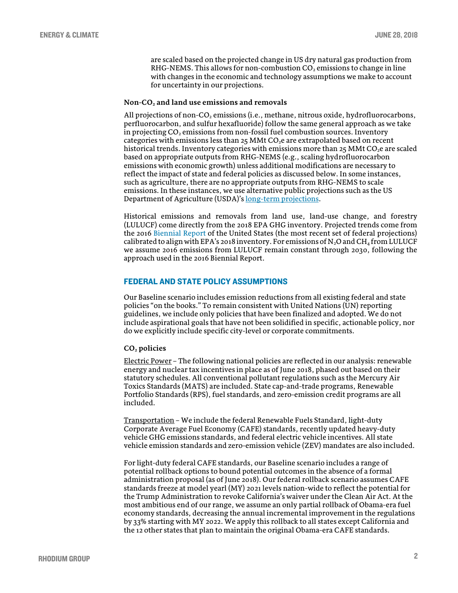are scaled based on the projected change in US dry natural gas production from RHG-NEMS. This allows for non-combustion  $CO<sub>2</sub>$  emissions to change in line with changes in the economic and technology assumptions we make to account for uncertainty in our projections.

## **Non-CO2 and land use emissions and removals**

All projections of non- $CO<sub>2</sub>$  emissions (i.e., methane, nitrous oxide, hydrofluorocarbons, perfluorocarbon, and sulfur hexafluoride) follow the same general approach as we take in projecting  $CO<sub>2</sub>$  emissions from non-fossil fuel combustion sources. Inventory categories with emissions less than  $25$  MMt CO<sub>2</sub>e are extrapolated based on recent historical trends. Inventory categories with emissions more than  $25$  MMt CO<sub>2</sub>e are scaled based on appropriate outputs from RHG-NEMS (e.g., scaling hydrofluorocarbon emissions with economic growth) unless additional modifications are necessary to reflect the impact of state and federal policies as discussed below. In some instances, such as agriculture, there are no appropriate outputs from RHG-NEMS to scale emissions. In these instances, we use alternative public projections such as the US Department of Agriculture (USDA)'[s long-term projections.](https://www.usda.gov/oce/commodity/projections/)

Historical emissions and removals from land use, land-use change, and forestry (LULUCF) come directly from the 2018 EPA GHG inventory. Projected trends come from the 2016 [Biennial Report](https://unfccc.int/files/national_reports/biennial_reports_and_iar/submitted_biennial_reports/application/pdf/2016_second_biennial_report_of_the_united_states_.pdf) of the United States (the most recent set of federal projections) calibrated to align with EPA's 2018 inventory. For emissions of  $N_2O$  and CH<sub>4</sub> from LULUCF we assume 2016 emissions from LULUCF remain constant through 2030, following the approach used in the 2016 Biennial Report.

## FEDERAL AND STATE POLICY ASSUMPTIONS

Our Baseline scenario includes emission reductions from all existing federal and state policies "on the books." To remain consistent with United Nations (UN) reporting guidelines, we include only policies that have been finalized and adopted. We do not include aspirational goals that have not been solidified in specific, actionable policy, nor do we explicitly include specific city-level or corporate commitments.

## **CO2 policies**

Electric Power – The following national policies are reflected in our analysis: renewable energy and nuclear tax incentives in place as of June 2018, phased out based on their statutory schedules. All conventional pollutant regulations such as the Mercury Air Toxics Standards (MATS) are included. State cap-and-trade programs, Renewable Portfolio Standards (RPS), fuel standards, and zero-emission credit programs are all included.

Transportation – We include the federal Renewable Fuels Standard, light-duty Corporate Average Fuel Economy (CAFE) standards, recently updated heavy-duty vehicle GHG emissions standards, and federal electric vehicle incentives. All state vehicle emission standards and zero-emission vehicle (ZEV) mandates are also included.

For light-duty federal CAFE standards, our Baseline scenario includes a range of potential rollback options to bound potential outcomes in the absence of a formal administration proposal (as of June 2018). Our federal rollback scenario assumes CAFE standards freeze at model yearl (MY) 2021 levels nation-wide to reflect the potential for the Trump Administration to revoke California's waiver under the Clean Air Act. At the most ambitious end of our range, we assume an only partial rollback of Obama-era fuel economy standards, decreasing the annual incremental improvement in the regulations by 33% starting with MY 2022. We apply this rollback to all states except California and the 12 other states that plan to maintain the original Obama-era CAFE standards.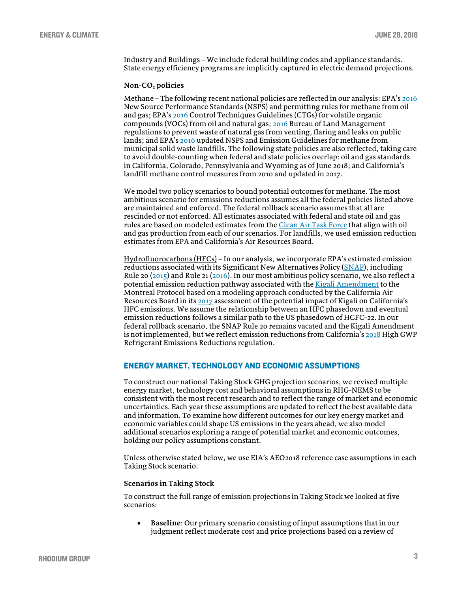Industry and Buildings – We include federal building codes and appliance standards. State energy efficiency programs are implicitly captured in electric demand projections.

## **Non-CO2 policies**

Methane – The following recent national policies are reflected in our analysis: EPA'[s 2016](https://www.epa.gov/controlling-air-pollution-oil-and-natural-gas-industry/new-source-performance-standards-and) New Source Performance Standards (NSPS) and permitting rules for methane from oil and gas; EPA'[s 2016](https://www.epa.gov/controlling-air-pollution-oil-and-natural-gas-industry/2016-control-techniques-guidelines-oil-and) Control Techniques Guidelines (CTGs) for volatile organic compounds (VOCs) from oil and natural gas; [2016](https://www.regulations.gov/document?D=BLM-2016-0001-9126) Bureau of Land Management regulations to prevent waste of natural gas from venting, flaring and leaks on public lands; and EPA's [2016](https://www.epa.gov/stationary-sources-air-pollution/municipal-solid-waste-landfills-proposed-and-final-air-regulation) updated NSPS and Emission Guidelines for methane from municipal solid waste landfills. The following state policies are also reflected, taking care to avoid double-counting when federal and state policies overlap: oil and gas standards in California, Colorado, Pennsylvania and Wyoming as of June 2018; and California's landfill methane control measures from 2010 and updated in 2017.

We model two policy scenarios to bound potential outcomes for methane. The most ambitious scenario for emissions reductions assumes all the federal policies listed above are maintained and enforced. The federal rollback scenario assumes that all are rescinded or not enforced. All estimates associated with federal and state oil and gas rules are based on modeled estimates from th[e Clean Air Task Force](http://www.catf.us/) that align with oil and gas production from each of our scenarios. For landfills, we used emission reduction estimates from EPA and California's Air Resources Board.

Hydrofluorocarbons (HFCs) – In our analysis, we incorporate EPA's estimated emission reductions associated with its Significant New Alternatives Policy [\(SNAP\)](https://www.epa.gov/snap/snap-regulations), including Rule 20  $(2015)$  and Rule 21  $(2016)$ . In our most ambitious policy scenario, we also reflect a potential emission reduction pathway associated with th[e Kigali Amendment](https://treaties.un.org/doc/Publication/CN/2016/CN.872.2016-Eng.pdf) to the Montreal Protocol based on a modeling approach conducted by the California Air Resources Board in it[s 2017](https://www.arb.ca.gov/cc/shortlived/CARB-Potential-Impact-of-the-Kigali-Amendment-on-HFC-Emissions-Final-Dec-15-2017.pdf?_ga=2.250742278.1465188240.1529084213-829243743.1507135518) assessment of the potential impact of Kigali on California's HFC emissions. We assume the relationship between an HFC phasedown and eventual emission reductions follows a similar path to the US phasedown of HCFC-22. In our federal rollback scenario, the SNAP Rule 20 remains vacated and the Kigali Amendment is not implemented, but we reflect emission reductions from California'[s 2018](https://www.arb.ca.gov/regact/2018/casnap/casnap.htm) High GWP Refrigerant Emissions Reductions regulation.

# ENERGY MARKET, TECHNOLOGY AND ECONOMIC ASSUMPTIONS

To construct our national Taking Stock GHG projection scenarios, we revised multiple energy market, technology cost and behavioral assumptions in RHG-NEMS to be consistent with the most recent research and to reflect the range of market and economic uncertainties. Each year these assumptions are updated to reflect the best available data and information. To examine how different outcomes for our key energy market and economic variables could shape US emissions in the years ahead, we also model additional scenarios exploring a range of potential market and economic outcomes, holding our policy assumptions constant.

Unless otherwise stated below, we use EIA's AEO2018 reference case assumptions in each Taking Stock scenario.

#### **Scenarios in Taking Stock**

To construct the full range of emission projections in Taking Stock we looked at five scenarios:

• **Baseline**: Our primary scenario consisting of input assumptions that in our judgment reflect moderate cost and price projections based on a review of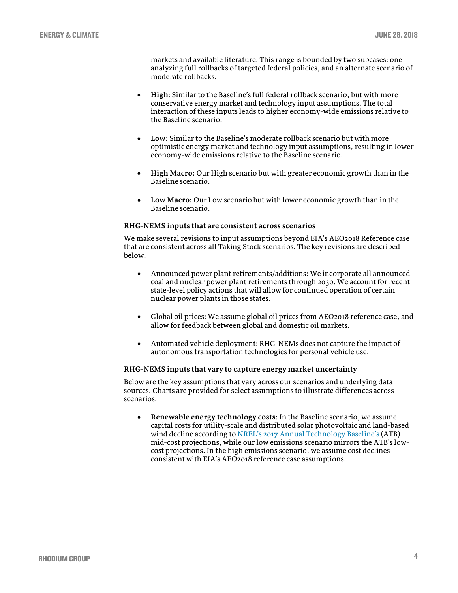markets and available literature. This range is bounded by two subcases: one analyzing full rollbacks of targeted federal policies, and an alternate scenario of moderate rollbacks.

- **High**: Similar to the Baseline's full federal rollback scenario, but with more conservative energy market and technology input assumptions. The total interaction of these inputs leads to higher economy-wide emissions relative to the Baseline scenario.
- **Low:** Similar to the Baseline's moderate rollback scenario but with more optimistic energy market and technology input assumptions, resulting in lower economy-wide emissions relative to the Baseline scenario.
- **High Macro:** Our High scenario but with greater economic growth than in the Baseline scenario.
- **Low Macro:** Our Low scenario but with lower economic growth than in the Baseline scenario.

## **RHG-NEMS inputs that are consistent across scenarios**

We make several revisions to input assumptions beyond EIA's AEO2018 Reference case that are consistent across all Taking Stock scenarios. The key revisions are described below.

- Announced power plant retirements/additions: We incorporate all announced coal and nuclear power plant retirements through 2030. We account for recent state-level policy actions that will allow for continued operation of certain nuclear power plants in those states.
- Global oil prices: We assume global oil prices from AEO2018 reference case, and allow for feedback between global and domestic oil markets.
- Automated vehicle deployment: RHG-NEMs does not capture the impact of autonomous transportation technologies for personal vehicle use.

#### **RHG-NEMS inputs that vary to capture energy market uncertainty**

Below are the key assumptions that vary across our scenarios and underlying data sources. Charts are provided for select assumptions to illustrate differences across scenarios.

• **Renewable energy technology costs**: In the Baseline scenario, we assume capital costs for utility-scale and distributed solar photovoltaic and land-based wind decline according to NREL's [2017 Annual Technology Baseline's](https://atb.nrel.gov/) (ATB) mid-cost projections, while our low emissions scenario mirrors the ATB's lowcost projections. In the high emissions scenario, we assume cost declines consistent with EIA's AEO2018 reference case assumptions.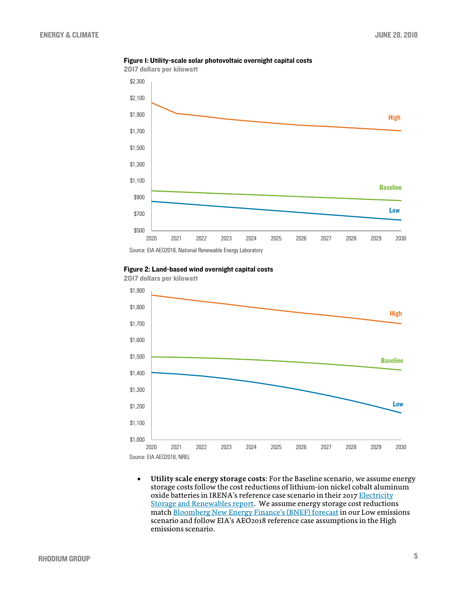

Figure 1: Utility-scale solar photovoltaic overnight capital costs

Source: EIA AEO2018, National Renewable Energy Laboratory





2017 dollars per kilowatt

• **Utility scale energy storage costs**: For the Baseline scenario, we assume energy storage costs follow the cost reductions of lithium-ion nickel cobalt aluminum oxide batteries in IRENA's reference case scenario in their 2017 Electricity [Storage and Renewables report.](http://www.irena.org/-/media/Files/IRENA/Agency/Publication/2017/Oct/IRENA_Electricity_Storage_Costs_2017.pdf) We assume energy storage cost reductions matc[h Bloomberg New Energy Finance's \(BNEF\)](https://data.bloomberglp.com/bnef/sites/14/2017/07/BNEF-Lithium-ion-battery-costs-and-market.pdf) forecast in our Low emissions scenario and follow EIA's AEO2018 reference case assumptions in the High emissions scenario.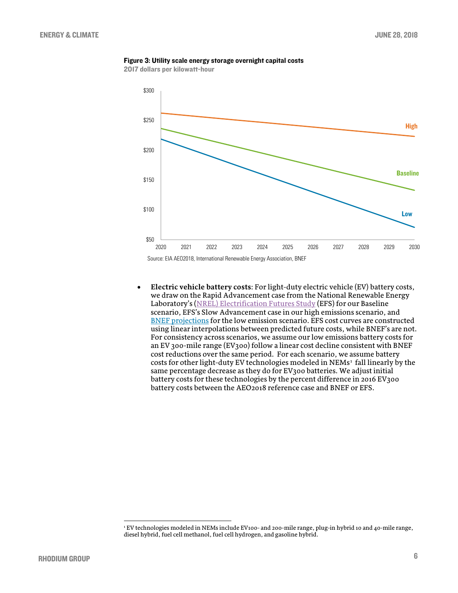

2017 dollars per kilowatt-hour



• **Electric vehicle battery costs**: For light-duty electric vehicle (EV) battery costs, we draw on the Rapid Advancement case from the National Renewable Energy Laboratory's (NREL) [Electrification Futures Study](https://www.nrel.gov/docs/fy18osti/70485.pdf) (EFS) for our Baseline scenario, EFS's Slow Advancement case in our high emissions scenario, and **BNEF** projections for the low emission scenario. EFS cost curves are constructed using linear interpolations between predicted future costs, while BNEF's are not. For consistency across scenarios, we assume our low emissions battery costs for an EV 300-mile range (EV300) follow a linear cost decline consistent with BNEF cost reductions over the same period. For each scenario, we assume battery costs for other light-duty EV technologies modeled in NEMs<sup>[1](#page-18-0)</sup> fall linearly by the same percentage decrease as they do for EV300 batteries. We adjust initial battery costs for these technologies by the percent difference in 2016 EV300 battery costs between the AEO2018 reference case and BNEF or EFS.

<span id="page-18-0"></span> <sup>1</sup> EV technologies modeled in NEMs include EV100- and 200-mile range, plug-in hybrid 10 and 40-mile range, diesel hybrid, fuel cell methanol, fuel cell hydrogen, and gasoline hybrid.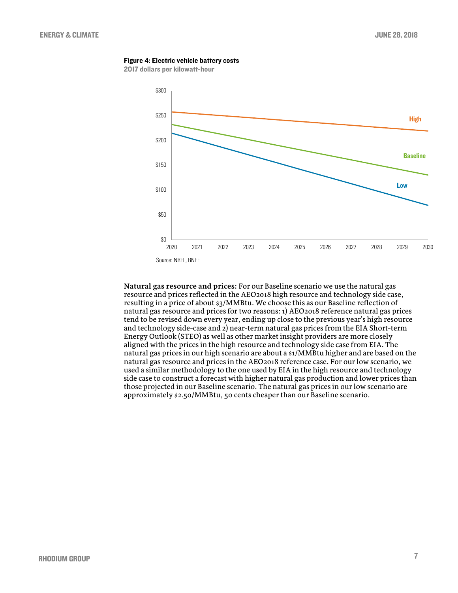#### Figure 4: Electric vehicle battery costs

2017 dollars per kilowatt-hour



**Natural gas resource and prices:** For our Baseline scenario we use the natural gas resource and prices reflected in the AEO2018 high resource and technology side case, resulting in a price of about \$3/MMBtu. We choose this as our Baseline reflection of natural gas resource and prices for two reasons: 1) AEO2018 reference natural gas prices tend to be revised down every year, ending up close to the previous year's high resource and technology side-case and 2) near-term natural gas prices from the EIA Short-term Energy Outlook (STEO) as well as other market insight providers are more closely aligned with the prices in the high resource and technology side case from EIA. The natural gas prices in our high scenario are about a \$1/MMBtu higher and are based on the natural gas resource and prices in the AEO2018 reference case. For our low scenario, we used a similar methodology to the one used by EIA in the high resource and technology side case to construct a forecast with higher natural gas production and lower prices than those projected in our Baseline scenario. The natural gas prices in our low scenario are approximately \$2.50/MMBtu, 50 cents cheaper than our Baseline scenario.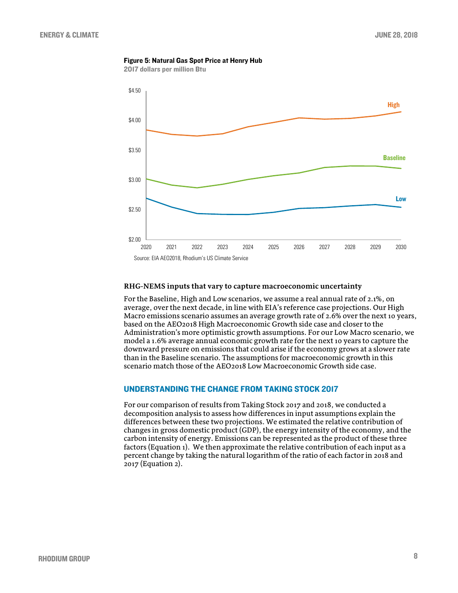## Figure 5: Natural Gas Spot Price at Henry Hub

2017 dollars per million Btu



## **RHG-NEMS inputs that vary to capture macroeconomic uncertainty**

For the Baseline, High and Low scenarios, we assume a real annual rate of 2.1%, on average, over the next decade, in line with EIA's reference case projections. Our High Macro emissions scenario assumes an average growth rate of 2.6% over the next 10 years, based on the AEO2018 High Macroeconomic Growth side case and closer to the Administration's more optimistic growth assumptions. For our Low Macro scenario, we model a 1.6% average annual economic growth rate for the next 10 years to capture the downward pressure on emissions that could arise if the economy grows at a slower rate than in the Baseline scenario. The assumptions for macroeconomic growth in this scenario match those of the AEO2018 Low Macroeconomic Growth side case.

## UNDERSTANDING THE CHANGE FROM TAKING STOCK 2017

For our comparison of results from Taking Stock 2017 and 2018, we conducted a decomposition analysis to assess how differences in input assumptions explain the differences between these two projections. We estimated the relative contribution of changes in gross domestic product (GDP), the energy intensity of the economy, and the carbon intensity of energy. Emissions can be represented as the product of these three factors (Equation 1). We then approximate the relative contribution of each input as a percent change by taking the natural logarithm of the ratio of each factor in 2018 and 2017 (Equation 2).